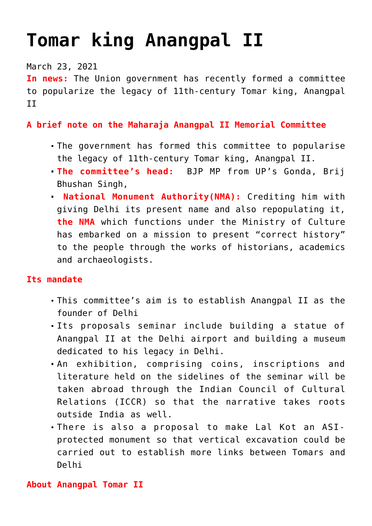# **[Tomar king Anangpal II](https://journalsofindia.com/tomar-king-anangpal-ii/)**

#### March 23, 2021

**In news:** The Union government has recently formed a committee to popularize the legacy of 11th-century Tomar king, Anangpal II

### **A brief note on the Maharaja Anangpal II Memorial Committee**

- The government has formed this committee to popularise the legacy of 11th-century Tomar king, Anangpal II.
- **The committee's head:** BJP MP from UP's Gonda, Brij Bhushan Singh,
- **National Monument Authority(NMA):** Crediting him with giving Delhi its present name and also repopulating it, **the NMA** which functions under the Ministry of Culture has embarked on a mission to present "correct history" to the people through the works of historians, academics and archaeologists.

#### **Its mandate**

- This committee's aim is to establish Anangpal II as the founder of Delhi
- Its proposals seminar include building a statue of Anangpal II at the Delhi airport and building a museum dedicated to his legacy in Delhi.
- An exhibition, comprising coins, inscriptions and literature held on the sidelines of the seminar will be taken abroad through the Indian Council of Cultural Relations (ICCR) so that the narrative takes roots outside India as well.
- There is also a proposal to make Lal Kot an ASIprotected monument so that vertical excavation could be carried out to establish more links between Tomars and Delhi

#### **About Anangpal Tomar II**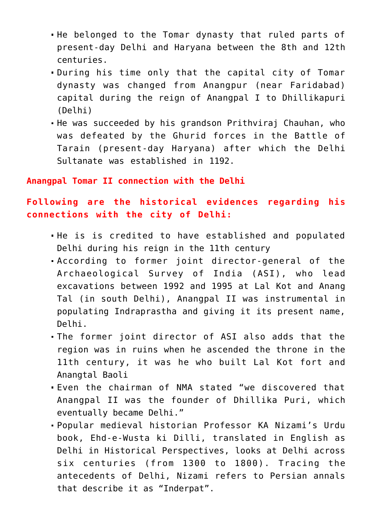- He belonged to the Tomar dynasty that ruled parts of present-day Delhi and Haryana between the 8th and 12th centuries.
- During his time only that the capital city of Tomar dynasty was changed from Anangpur (near Faridabad) capital during the reign of Anangpal I to Dhillikapuri (Delhi)
- He was succeeded by his grandson Prithviraj Chauhan, who was defeated by the Ghurid forces in the Battle of Tarain (present-day Haryana) after which the Delhi Sultanate was established in 1192.

#### **Anangpal Tomar II connection with the Delhi**

## **Following are the historical evidences regarding his connections with the city of Delhi:**

- He is is credited to have established and populated Delhi during his reign in the 11th century
- According to former joint director-general of the Archaeological Survey of India (ASI), who lead excavations between 1992 and 1995 at Lal Kot and Anang Tal (in south Delhi), Anangpal II was instrumental in populating Indraprastha and giving it its present name, Delhi.
- The former joint director of ASI also adds that the region was in ruins when he ascended the throne in the 11th century, it was he who built Lal Kot fort and Anangtal Baoli
- Even the chairman of NMA stated "we discovered that Anangpal II was the founder of Dhillika Puri, which eventually became Delhi."
- Popular medieval historian Professor KA Nizami's Urdu book, Ehd-e-Wusta ki Dilli, translated in English as Delhi in Historical Perspectives, looks at Delhi across six centuries (from 1300 to 1800). Tracing the antecedents of Delhi, Nizami refers to Persian annals that describe it as "Inderpat".